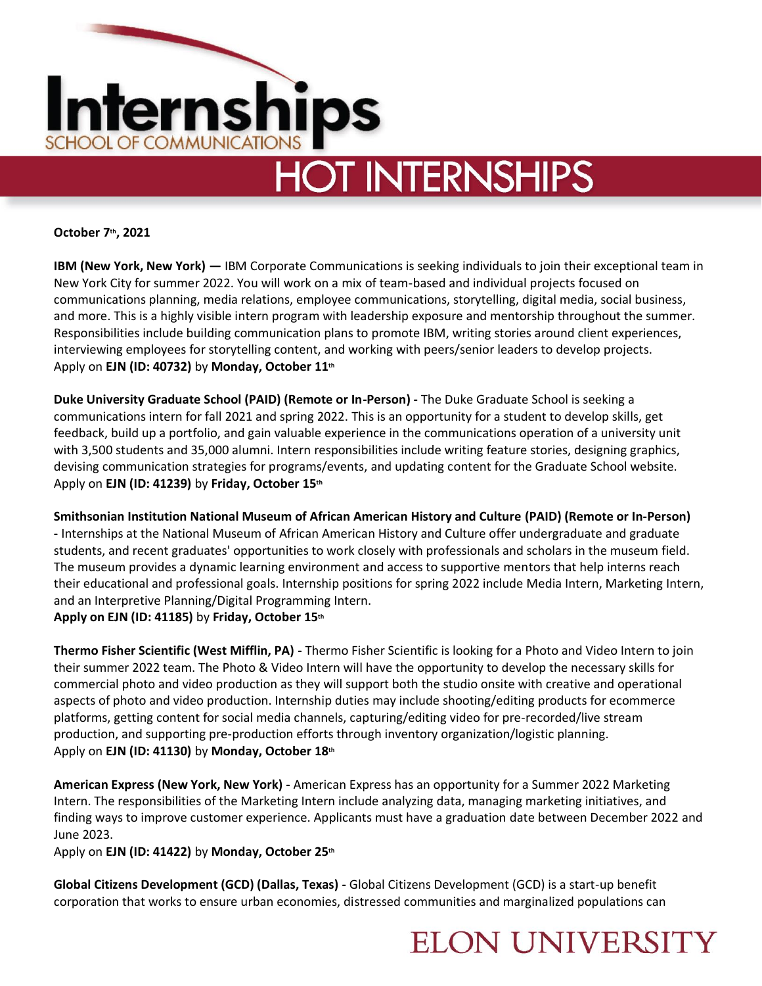

## **HOT INTERNSHIPS**

**October 7th, 2021** 

**IBM (New York, New York) —** IBM Corporate Communications is seeking individuals to join their exceptional team in New York City for summer 2022. You will work on a mix of team-based and individual projects focused on communications planning, media relations, employee communications, storytelling, digital media, social business, and more. This is a highly visible intern program with leadership exposure and mentorship throughout the summer. Responsibilities include building communication plans to promote IBM, writing stories around client experiences, interviewing employees for storytelling content, and working with peers/senior leaders to develop projects. Apply on **EJN (ID: 40732)** by **Monday, October 11th**

**Duke University Graduate School (PAID) (Remote or In-Person) -** The Duke Graduate School is seeking a communications intern for fall 2021 and spring 2022. This is an opportunity for a student to develop skills, get feedback, build up a portfolio, and gain valuable experience in the communications operation of a university unit with 3,500 students and 35,000 alumni. Intern responsibilities include writing feature stories, designing graphics, devising communication strategies for programs/events, and updating content for the Graduate School website. Apply on **EJN (ID: 41239)** by **Friday, October 15th**

**Smithsonian Institution National Museum of African American History and Culture (PAID) (Remote or In-Person) -** Internships at the National Museum of African American History and Culture offer undergraduate and graduate students, and recent graduates' opportunities to work closely with professionals and scholars in the museum field. The museum provides a dynamic learning environment and access to supportive mentors that help interns reach their educational and professional goals. Internship positions for spring 2022 include Media Intern, Marketing Intern, and an Interpretive Planning/Digital Programming Intern. **Apply on EJN (ID: 41185)** by **Friday, October 15th**

**Thermo Fisher Scientific (West Mifflin, PA) -** Thermo Fisher Scientific is looking for a Photo and Video Intern to join their summer 2022 team. The Photo & Video Intern will have the opportunity to develop the necessary skills for commercial photo and video production as they will support both the studio onsite with creative and operational aspects of photo and video production. Internship duties may include shooting/editing products for ecommerce platforms, getting content for social media channels, capturing/editing video for pre-recorded/live stream production, and supporting pre-production efforts through inventory organization/logistic planning.

## Apply on **EJN (ID: 41130)** by **Monday, October 18th**

**American Express (New York, New York) -** American Express has an opportunity for a Summer 2022 Marketing Intern. The responsibilities of the Marketing Intern include analyzing data, managing marketing initiatives, and finding ways to improve customer experience. Applicants must have a graduation date between December 2022 and June 2023.

**ELON UNIVERSITY** 

Apply on **EJN (ID: 41422)** by **Monday, October 25th**

**Global Citizens Development (GCD) (Dallas, Texas) -** Global Citizens Development (GCD) is a start-up benefit corporation that works to ensure urban economies, distressed communities and marginalized populations can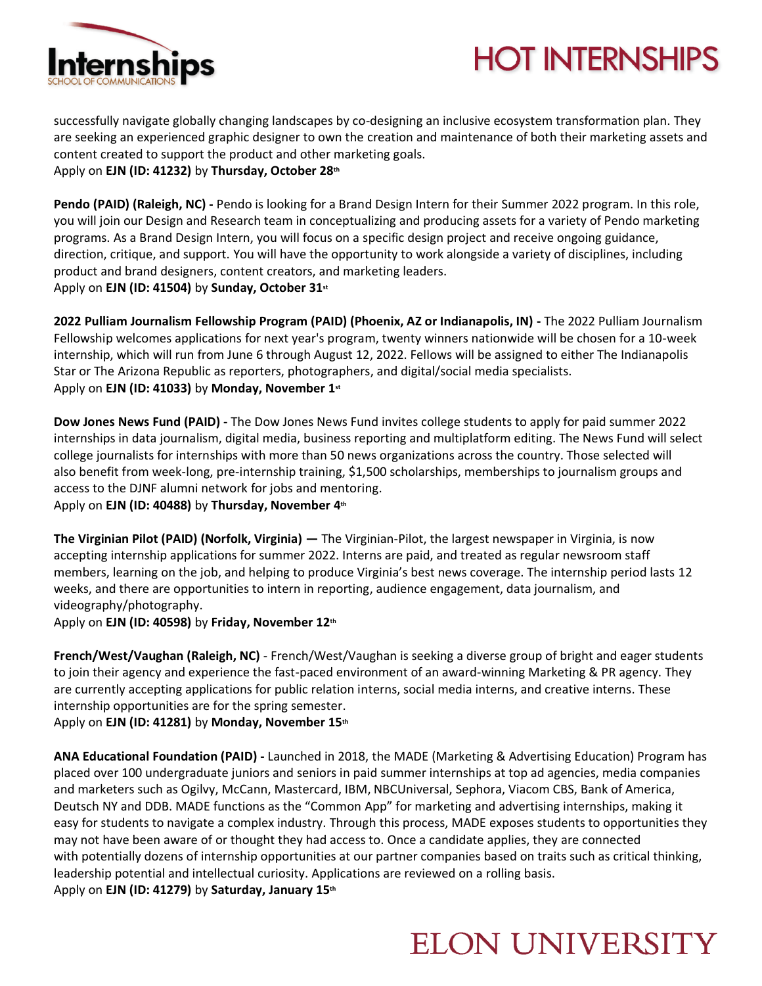

## **HOT INTERNSHIPS**

successfully navigate globally changing landscapes by co-designing an inclusive ecosystem transformation plan. They are seeking an experienced graphic designer to own the creation and maintenance of both their marketing assets and content created to support the product and other marketing goals. Apply on **EJN (ID: 41232)** by **Thursday, October 28th**

**Pendo (PAID) (Raleigh, NC) -** Pendo is looking for a Brand Design Intern for their Summer 2022 program. In this role, you will join our Design and Research team in conceptualizing and producing assets for a variety of Pendo marketing programs. As a Brand Design Intern, you will focus on a specific design project and receive ongoing guidance, direction, critique, and support. You will have the opportunity to work alongside a variety of disciplines, including product and brand designers, content creators, and marketing leaders. Apply on **EJN (ID: 41504)** by **Sunday, October 31st**

**2022 Pulliam Journalism Fellowship Program (PAID) (Phoenix, AZ or Indianapolis, IN) -** The 2022 Pulliam Journalism Fellowship welcomes applications for next year's program, twenty winners nationwide will be chosen for a 10-week internship, which will run from June 6 through August 12, 2022. Fellows will be assigned to either The Indianapolis Star or The Arizona Republic as reporters, photographers, and digital/social media specialists. Apply on **EJN (ID: 41033)** by **Monday, November 1st**

**Dow Jones News Fund (PAID) -** The Dow Jones News Fund invites college students to apply for paid summer 2022 internships in data journalism, digital media, business reporting and multiplatform editing. The News Fund will select college journalists for internships with more than 50 news organizations across the country. Those selected will also benefit from week-long, pre-internship training, \$1,500 scholarships, memberships to journalism groups and access to the DJNF alumni network for jobs and mentoring. Apply on **EJN (ID: 40488)** by **Thursday, November 4th**

**The Virginian Pilot (PAID) (Norfolk, Virginia) —** The Virginian-Pilot, the largest newspaper in Virginia, is now accepting internship applications for summer 2022. Interns are paid, and treated as regular newsroom staff members, learning on the job, and helping to produce Virginia's best news coverage. The internship period lasts 12 weeks, and there are opportunities to intern in reporting, audience engagement, data journalism, and videography/photography.

Apply on **EJN (ID: 40598)** by **Friday, November 12th**

**French/West/Vaughan (Raleigh, NC)** - French/West/Vaughan is seeking a diverse group of bright and eager students to join their agency and experience the fast-paced environment of an award-winning Marketing & PR agency. They are currently accepting applications for public relation interns, social media interns, and creative interns. These internship opportunities are for the spring semester.

Apply on **EJN (ID: 41281)** by **Monday, November 15th**

**ANA Educational Foundation (PAID) -** Launched in 2018, the MADE (Marketing & Advertising Education) Program has placed over 100 undergraduate juniors and seniors in paid summer internships at top ad agencies, media companies and marketers such as Ogilvy, McCann, Mastercard, IBM, NBCUniversal, Sephora, Viacom CBS, Bank of America, Deutsch NY and DDB. MADE functions as the "Common App" for marketing and advertising internships, making it easy for students to navigate a complex industry. Through this process, MADE exposes students to opportunities they may not have been aware of or thought they had access to. Once a candidate applies, they are connected with potentially dozens of internship opportunities at our partner companies based on traits such as critical thinking, leadership potential and intellectual curiosity. Applications are reviewed on a rolling basis. Apply on **EJN (ID: 41279)** by **Saturday, January 15th**